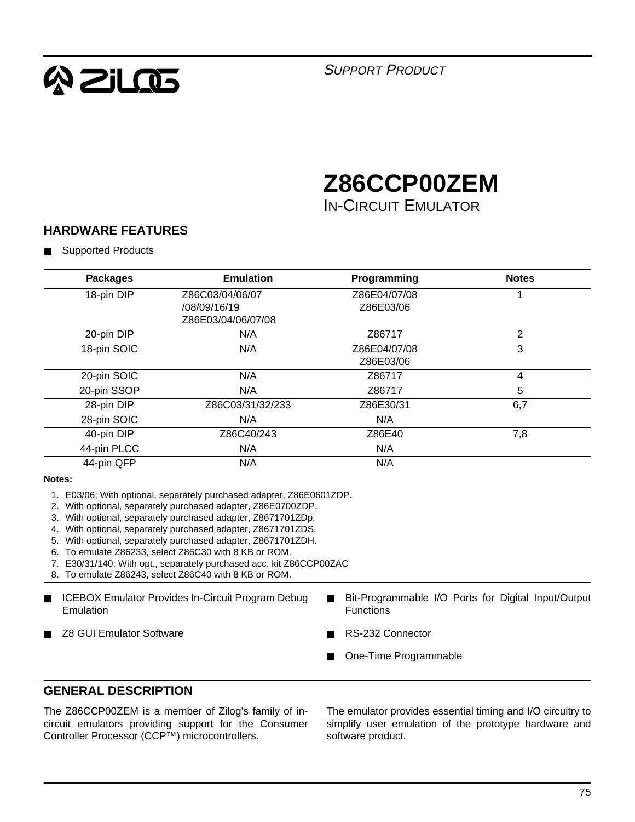

SUPPORT PRODUCT

# **Z86CCP00ZEM**

IN-CIRCUIT EMULATOR

#### **HARDWARE FEATURES**

■ Supported Products

| <b>Packages</b> | <b>Emulation</b>                                                                                                | Programming      | <b>Notes</b>                                        |
|-----------------|-----------------------------------------------------------------------------------------------------------------|------------------|-----------------------------------------------------|
| 18-pin DIP      | Z86C03/04/06/07                                                                                                 | Z86E04/07/08     |                                                     |
|                 | /08/09/16/19                                                                                                    | Z86E03/06        |                                                     |
|                 | Z86E03/04/06/07/08                                                                                              |                  |                                                     |
| 20-pin DIP      | N/A                                                                                                             | Z86717           | $\overline{2}$                                      |
| 18-pin SOIC     | N/A                                                                                                             | Z86E04/07/08     | 3                                                   |
|                 |                                                                                                                 | Z86E03/06        |                                                     |
| 20-pin SOIC     | N/A                                                                                                             | Z86717           | 4                                                   |
| 20-pin SSOP     | N/A                                                                                                             | Z86717           | 5                                                   |
| 28-pin DIP      | Z86C03/31/32/233                                                                                                | Z86E30/31        | 6,7                                                 |
| 28-pin SOIC     | N/A                                                                                                             | N/A              |                                                     |
| 40-pin DIP      | Z86C40/243                                                                                                      | Z86E40           | 7,8                                                 |
| 44-pin PLCC     | N/A                                                                                                             | N/A              |                                                     |
| 44-pin QFP      | N/A                                                                                                             | N/A              |                                                     |
| Notes:          |                                                                                                                 |                  |                                                     |
|                 | 1. E03/06; With optional, separately purchased adapter, Z86E0601ZDP.                                            |                  |                                                     |
|                 | 2. With optional, separately purchased adapter, Z86E0700ZDP.                                                    |                  |                                                     |
|                 | With optional, separately purchased adapter, Z8671701ZDp.                                                       |                  |                                                     |
|                 | With optional, separately purchased adapter, Z8671701ZDS.                                                       |                  |                                                     |
| 5.              | With optional, separately purchased adapter, Z8671701ZDH.<br>To emulate Z86233, select Z86C30 with 8 KB or ROM. |                  |                                                     |
|                 | 7. E30/31/140: With opt., separately purchased acc. kit Z86CCP00ZAC                                             |                  |                                                     |
|                 | 8. To emulate Z86243, select Z86C40 with 8 KB or ROM.                                                           |                  |                                                     |
|                 |                                                                                                                 |                  |                                                     |
| ■               | <b>ICEBOX Emulator Provides In-Circuit Program Debug</b>                                                        |                  | Bit-Programmable I/O Ports for Digital Input/Output |
| Emulation       |                                                                                                                 | <b>Functions</b> |                                                     |
|                 |                                                                                                                 |                  |                                                     |

■ Z8 GUI Emulator Software

- RS-232 Connector
	- One-Time Programmable

#### **GENERAL DESCRIPTION**

The Z86CCP00ZEM is a member of Zilog's family of incircuit emulators providing support for the Consumer Controller Processor (CCP™) microcontrollers.

The emulator provides essential timing and I/O circuitry to simplify user emulation of the prototype hardware and software product.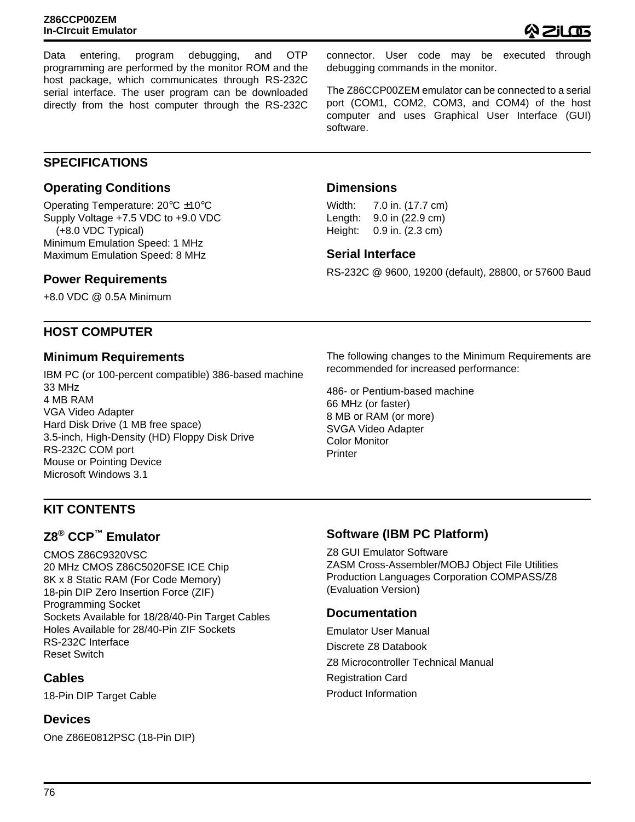Data entering, program debugging, and OTP programming are performed by the monitor ROM and the host package, which communicates through RS-232C serial interface. The user program can be downloaded directly from the host computer through the RS-232C

connector. User code may be executed through debugging commands in the monitor.

The Z86CCP00ZEM emulator can be connected to a serial port (COM1, COM2, COM3, and COM4) of the host computer and uses Graphical User Interface (GUI) software.

#### **SPECIFICATIONS**

#### **Operating Conditions**

Operating Temperature: 20°C ±10°C Supply Voltage +7.5 VDC to +9.0 VDC (+8.0 VDC Typical) Minimum Emulation Speed: 1 MHz Maximum Emulation Speed: 8 MHz

#### **Power Requirements**

+8.0 VDC @ 0.5A Minimum

#### **HOST COMPUTER**

#### **Minimum Requirements**

IBM PC (or 100-percent compatible) 386-based machine 33 MHz 4 MB RAM VGA Video Adapter Hard Disk Drive (1 MB free space) 3.5-inch, High-Density (HD) Floppy Disk Drive RS-232C COM port Mouse or Pointing Device Microsoft Windows 3.1

The following changes to the Minimum Requirements are recommended for increased performance:

RS-232C @ 9600, 19200 (default), 28800, or 57600 Baud

486- or Pentium-based machine 66 MHz (or faster) 8 MB or RAM (or more) SVGA Video Adapter Color Monitor **Printer** 

**Dimensions**

**Serial Interface**

Width: 7.0 in. (17.7 cm) Length: 9.0 in (22.9 cm) Height: 0.9 in. (2.3 cm)

#### **KIT CONTENTS**

#### **Z8® CCP™ Emulator**

CMOS Z86C9320VSC 20 MHz CMOS Z86C5020FSE ICE Chip 8K x 8 Static RAM (For Code Memory) 18-pin DIP Zero Insertion Force (ZIF) Programming Socket Sockets Available for 18/28/40-Pin Target Cables Holes Available for 28/40-Pin ZIF Sockets RS-232C Interface Reset Switch

#### **Cables**

18-Pin DIP Target Cable

#### **Devices**

One Z86E0812PSC (18-Pin DIP)

#### **Software (IBM PC Platform)**

Z8 GUI Emulator Software ZASM Cross-Assembler/MOBJ Object File Utilities Production Languages Corporation COMPASS/Z8 (Evaluation Version)

#### **Documentation**

Emulator User Manual Discrete Z8 Databook Z8 Microcontroller Technical Manual Registration Card Product Information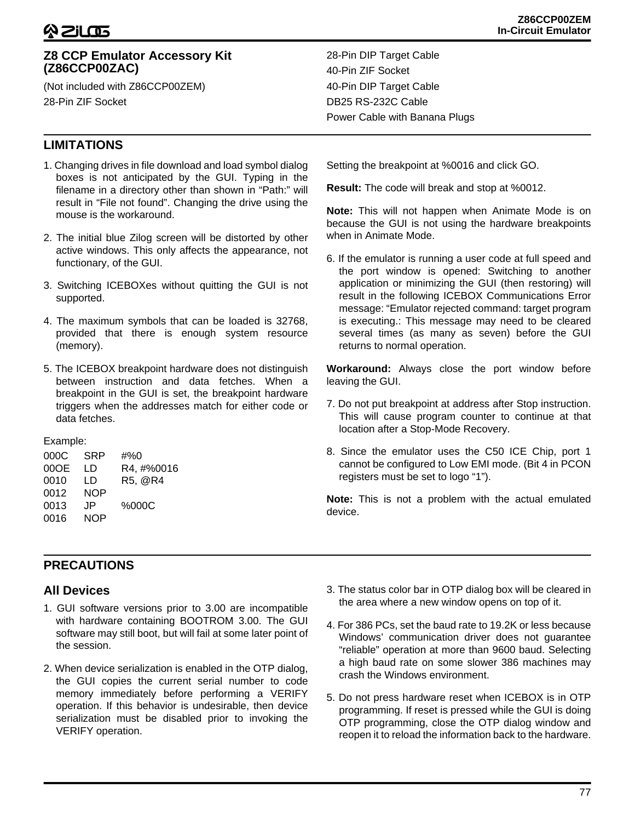#### **Z8 CCP Emulator Accessory Kit (Z86CCP00ZAC)**

(Not included with Z86CCP00ZEM) 28-Pin ZIF Socket

#### **LIMITATIONS**

- 1. Changing drives in file download and load symbol dialog boxes is not anticipated by the GUI. Typing in the filename in a directory other than shown in "Path:" will result in "File not found". Changing the drive using the mouse is the workaround.
- 2. The initial blue Zilog screen will be distorted by other active windows. This only affects the appearance, not functionary, of the GUI.
- 3. Switching ICEBOXes without quitting the GUI is not supported.
- 4. The maximum symbols that can be loaded is 32768, provided that there is enough system resource (memory).
- 5. The ICEBOX breakpoint hardware does not distinguish between instruction and data fetches. When a breakpoint in the GUI is set, the breakpoint hardware triggers when the addresses match for either code or data fetches.

Example:

| 000C | SRP        | #%0        |
|------|------------|------------|
| 00OE | LD         | R4, #%0016 |
| 0010 | LD         | R5, @R4    |
| 0012 | <b>NOP</b> |            |
| 0013 | .IP        | %000C      |
| 0016 | <b>NOP</b> |            |
|      |            |            |

28-Pin DIP Target Cable 40-Pin ZIF Socket 40-Pin DIP Target Cable DB25 RS-232C Cable Power Cable with Banana Plugs

Setting the breakpoint at %0016 and click GO.

**Result:** The code will break and stop at %0012.

**Note:** This will not happen when Animate Mode is on because the GUI is not using the hardware breakpoints when in Animate Mode.

6. If the emulator is running a user code at full speed and the port window is opened: Switching to another application or minimizing the GUI (then restoring) will result in the following ICEBOX Communications Error message: "Emulator rejected command: target program is executing.: This message may need to be cleared several times (as many as seven) before the GUI returns to normal operation.

**Workaround:** Always close the port window before leaving the GUI.

- 7. Do not put breakpoint at address after Stop instruction. This will cause program counter to continue at that location after a Stop-Mode Recovery.
- 8. Since the emulator uses the C50 ICE Chip, port 1 cannot be configured to Low EMI mode. (Bit 4 in PCON registers must be set to logo "1").

**Note:** This is not a problem with the actual emulated device.

#### **PRECAUTIONS**

#### **All Devices**

- 1. GUI software versions prior to 3.00 are incompatible with hardware containing BOOTROM 3.00. The GUI software may still boot, but will fail at some later point of the session.
- 2. When device serialization is enabled in the OTP dialog, the GUI copies the current serial number to code memory immediately before performing a VERIFY operation. If this behavior is undesirable, then device serialization must be disabled prior to invoking the VERIFY operation.
- 3. The status color bar in OTP dialog box will be cleared in the area where a new window opens on top of it.
- 4. For 386 PCs, set the baud rate to 19.2K or less because Windows' communication driver does not guarantee "reliable" operation at more than 9600 baud. Selecting a high baud rate on some slower 386 machines may crash the Windows environment.
- 5. Do not press hardware reset when ICEBOX is in OTP programming. If reset is pressed while the GUI is doing OTP programming, close the OTP dialog window and reopen it to reload the information back to the hardware.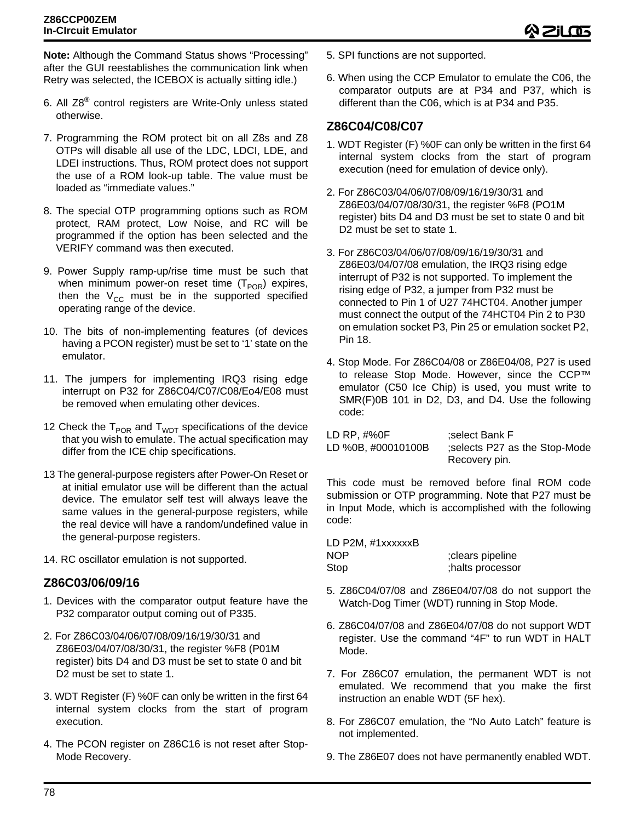**Note:** Although the Command Status shows "Processing" after the GUI reestablishes the communication link when Retry was selected, the ICEBOX is actually sitting idle.)

- 6. All Z8® control registers are Write-Only unless stated otherwise.
- 7. Programming the ROM protect bit on all Z8s and Z8 OTPs will disable all use of the LDC, LDCI, LDE, and LDEI instructions. Thus, ROM protect does not support the use of a ROM look-up table. The value must be loaded as "immediate values."
- 8. The special OTP programming options such as ROM protect, RAM protect, Low Noise, and RC will be programmed if the option has been selected and the VERIFY command was then executed.
- 9. Power Supply ramp-up/rise time must be such that when minimum power-on reset time  $(T_{POR})$  expires, then the  $V_{CC}$  must be in the supported specified operating range of the device.
- 10. The bits of non-implementing features (of devices having a PCON register) must be set to '1' state on the emulator.
- 11. The jumpers for implementing IRQ3 rising edge interrupt on P32 for Z86C04/C07/C08/Eo4/E08 must be removed when emulating other devices.
- 12 Check the  $T_{POR}$  and  $T_{WDT}$  specifications of the device that you wish to emulate. The actual specification may differ from the ICE chip specifications.
- 13 The general-purpose registers after Power-On Reset or at initial emulator use will be different than the actual device. The emulator self test will always leave the same values in the general-purpose registers, while the real device will have a random/undefined value in the general-purpose registers.
- 14. RC oscillator emulation is not supported.

#### **Z86C03/06/09/16**

- 1. Devices with the comparator output feature have the P32 comparator output coming out of P335.
- 2. For Z86C03/04/06/07/08/09/16/19/30/31 and Z86E03/04/07/08/30/31, the register %F8 (P01M register) bits D4 and D3 must be set to state 0 and bit D2 must be set to state 1.
- 3. WDT Register (F) %0F can only be written in the first 64 internal system clocks from the start of program execution.
- 4. The PCON register on Z86C16 is not reset after Stop-Mode Recovery.

6. When using the CCP Emulator to emulate the C06, the comparator outputs are at P34 and P37, which is different than the C06, which is at P34 and P35.

#### **Z86C04/C08/C07**

- 1. WDT Register (F) %0F can only be written in the first 64 internal system clocks from the start of program execution (need for emulation of device only).
- 2. For Z86C03/04/06/07/08/09/16/19/30/31 and Z86E03/04/07/08/30/31, the register %F8 (PO1M register) bits D4 and D3 must be set to state 0 and bit D2 must be set to state 1.
- 3. For Z86C03/04/06/07/08/09/16/19/30/31 and Z86E03/04/07/08 emulation, the IRQ3 rising edge interrupt of P32 is not supported. To implement the rising edge of P32, a jumper from P32 must be connected to Pin 1 of U27 74HCT04. Another jumper must connect the output of the 74HCT04 Pin 2 to P30 on emulation socket P3, Pin 25 or emulation socket P2, Pin 18.
- 4. Stop Mode. For Z86C04/08 or Z86E04/08, P27 is used to release Stop Mode. However, since the CCP™ emulator (C50 Ice Chip) is used, you must write to SMR(F)0B 101 in D2, D3, and D4. Use the following code:

| LD RP, #%0F        | :select Bank F                |
|--------------------|-------------------------------|
| LD %0B, #00010100B | selects P27 as the Stop-Mode: |
|                    | Recovery pin.                 |

This code must be removed before final ROM code submission or OTP programming. Note that P27 must be in Input Mode, which is accomplished with the following code:

LD P2M, #1xxxxxxB NOP ;clears pipeline Stop ;halts processor

- 5. Z86C04/07/08 and Z86E04/07/08 do not support the Watch-Dog Timer (WDT) running in Stop Mode.
- 6. Z86C04/07/08 and Z86E04/07/08 do not support WDT register. Use the command "4F" to run WDT in HALT Mode.
- 7. For Z86C07 emulation, the permanent WDT is not emulated. We recommend that you make the first instruction an enable WDT (5F hex).
- 8. For Z86C07 emulation, the "No Auto Latch" feature is not implemented.
- 9. The Z86E07 does not have permanently enabled WDT.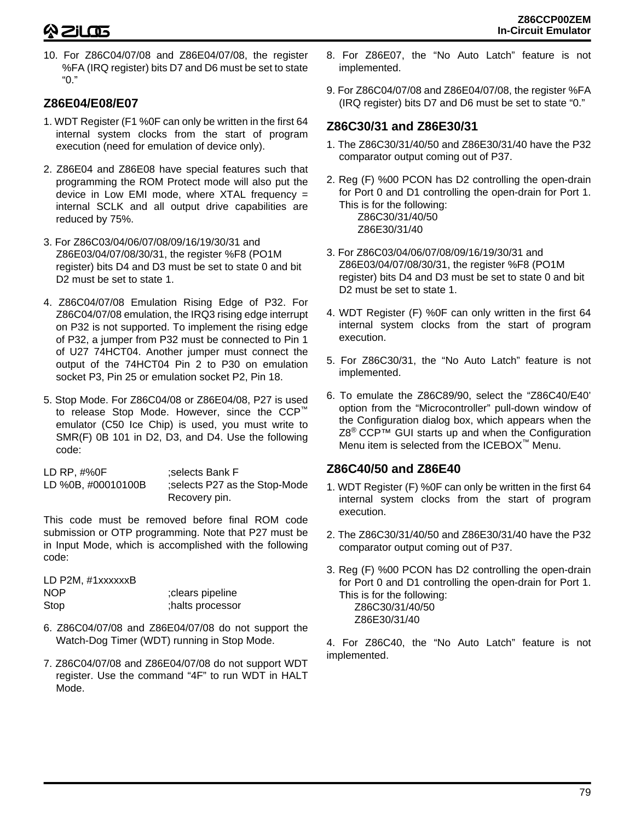10. For Z86C04/07/08 and Z86E04/07/08, the register %FA (IRQ register) bits D7 and D6 must be set to state "0."

### **Z86E04/E08/E07**

- 1. WDT Register (F1 %0F can only be written in the first 64 internal system clocks from the start of program execution (need for emulation of device only).
- 2. Z86E04 and Z86E08 have special features such that programming the ROM Protect mode will also put the device in Low EMI mode, where XTAL frequency = internal SCLK and all output drive capabilities are reduced by 75%.
- 3. For Z86C03/04/06/07/08/09/16/19/30/31 and Z86E03/04/07/08/30/31, the register %F8 (PO1M register) bits D4 and D3 must be set to state 0 and bit D2 must be set to state 1.
- 4. Z86C04/07/08 Emulation Rising Edge of P32. For Z86C04/07/08 emulation, the IRQ3 rising edge interrupt on P32 is not supported. To implement the rising edge of P32, a jumper from P32 must be connected to Pin 1 of U27 74HCT04. Another jumper must connect the output of the 74HCT04 Pin 2 to P30 on emulation socket P3, Pin 25 or emulation socket P2, Pin 18.
- 5. Stop Mode. For Z86C04/08 or Z86E04/08, P27 is used to release Stop Mode. However, since the CCP™ emulator (C50 Ice Chip) is used, you must write to SMR(F) 0B 101 in D2, D3, and D4. Use the following code:

| LD RP, #%0F        | selects Bank F;              |
|--------------------|------------------------------|
| LD %0B, #00010100B | selects P27 as the Stop-Mode |
|                    | Recovery pin.                |

This code must be removed before final ROM code submission or OTP programming. Note that P27 must be in Input Mode, which is accomplished with the following code:

| LD P2M, #1xxxxxxB |                  |
|-------------------|------------------|
| NOP               | clears pipeline; |
| Stop              | ;halts processor |

- 6. Z86C04/07/08 and Z86E04/07/08 do not support the Watch-Dog Timer (WDT) running in Stop Mode.
- 7. Z86C04/07/08 and Z86E04/07/08 do not support WDT register. Use the command "4F" to run WDT in HALT Mode.
- 8. For Z86E07, the "No Auto Latch" feature is not implemented.
- 9. For Z86C04/07/08 and Z86E04/07/08, the register %FA (IRQ register) bits D7 and D6 must be set to state "0."

## **Z86C30/31 and Z86E30/31**

- 1. The Z86C30/31/40/50 and Z86E30/31/40 have the P32 comparator output coming out of P37.
- 2. Reg (F) %00 PCON has D2 controlling the open-drain for Port 0 and D1 controlling the open-drain for Port 1. This is for the following: Z86C30/31/40/50 Z86E30/31/40
- 3. For Z86C03/04/06/07/08/09/16/19/30/31 and Z86E03/04/07/08/30/31, the register %F8 (PO1M register) bits D4 and D3 must be set to state 0 and bit D2 must be set to state 1.
- 4. WDT Register (F) %0F can only written in the first 64 internal system clocks from the start of program execution.
- 5. For Z86C30/31, the "No Auto Latch" feature is not implemented.
- 6. To emulate the Z86C89/90, select the "Z86C40/E40' option from the "Microcontroller" pull-down window of the Configuration dialog box, which appears when the Z8<sup>®</sup> CCP™ GUI starts up and when the Configuration Menu item is selected from the ICEBOX™ Menu.

## **Z86C40/50 and Z86E40**

- 1. WDT Register (F) %0F can only be written in the first 64 internal system clocks from the start of program execution.
- 2. The Z86C30/31/40/50 and Z86E30/31/40 have the P32 comparator output coming out of P37.
- 3. Reg (F) %00 PCON has D2 controlling the open-drain for Port 0 and D1 controlling the open-drain for Port 1. This is for the following: Z86C30/31/40/50 Z86E30/31/40

4. For Z86C40, the "No Auto Latch" feature is not implemented.